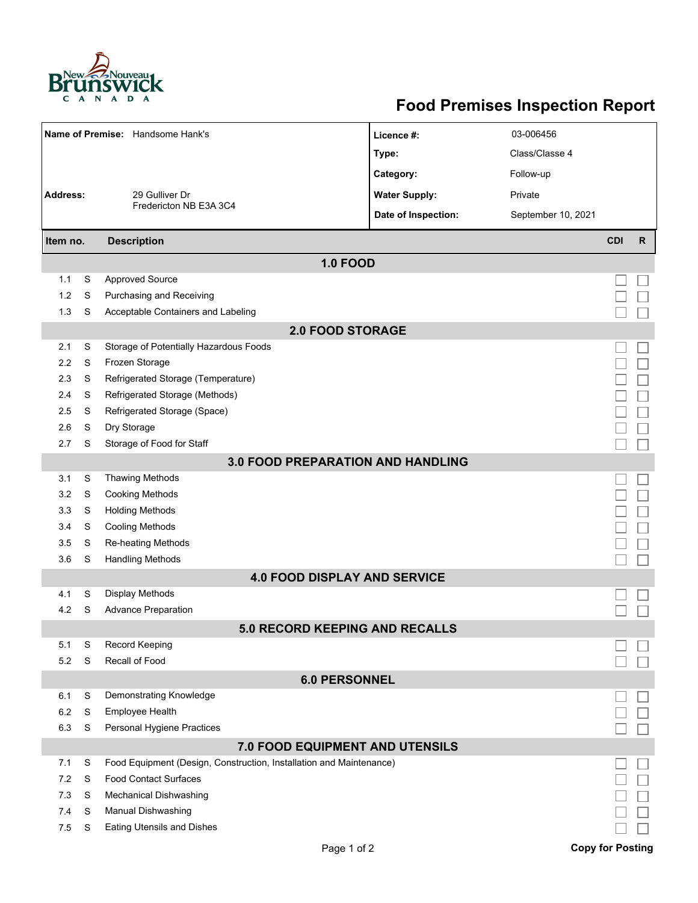

## **Food Premises Inspection Report**

| Name of Premise: Handsome Hank's |   |                                                                     | Licence #:           | 03-006456          |                         |              |  |  |  |  |  |
|----------------------------------|---|---------------------------------------------------------------------|----------------------|--------------------|-------------------------|--------------|--|--|--|--|--|
|                                  |   |                                                                     | Type:                | Class/Classe 4     |                         |              |  |  |  |  |  |
|                                  |   |                                                                     | Category:            | Follow-up          |                         |              |  |  |  |  |  |
| Address:                         |   | 29 Gulliver Dr                                                      | <b>Water Supply:</b> | Private            |                         |              |  |  |  |  |  |
|                                  |   | Fredericton NB E3A 3C4                                              | Date of Inspection:  | September 10, 2021 |                         |              |  |  |  |  |  |
|                                  |   |                                                                     |                      |                    | <b>CDI</b>              | $\mathsf{R}$ |  |  |  |  |  |
| <b>Description</b><br>Item no.   |   |                                                                     |                      |                    |                         |              |  |  |  |  |  |
| 1.1                              | S | <b>1.0 FOOD</b>                                                     |                      |                    |                         |              |  |  |  |  |  |
| 1.2                              |   | <b>Approved Source</b>                                              |                      |                    |                         |              |  |  |  |  |  |
|                                  | S | Purchasing and Receiving                                            |                      |                    |                         |              |  |  |  |  |  |
| 1.3                              | S | Acceptable Containers and Labeling                                  |                      |                    |                         |              |  |  |  |  |  |
| <b>2.0 FOOD STORAGE</b>          |   |                                                                     |                      |                    |                         |              |  |  |  |  |  |
| 2.1                              | S | Storage of Potentially Hazardous Foods                              |                      |                    |                         |              |  |  |  |  |  |
| 2.2                              | S | Frozen Storage                                                      |                      |                    |                         |              |  |  |  |  |  |
| 2.3                              | S | Refrigerated Storage (Temperature)                                  |                      |                    |                         |              |  |  |  |  |  |
| 2.4                              | S | Refrigerated Storage (Methods)                                      |                      |                    |                         |              |  |  |  |  |  |
| 2.5                              | S | Refrigerated Storage (Space)                                        |                      |                    |                         |              |  |  |  |  |  |
| 2.6                              | S | Dry Storage                                                         |                      |                    |                         |              |  |  |  |  |  |
| 2.7                              | S | Storage of Food for Staff                                           |                      |                    |                         |              |  |  |  |  |  |
|                                  |   | 3.0 FOOD PREPARATION AND HANDLING                                   |                      |                    |                         |              |  |  |  |  |  |
| 3.1                              | S | <b>Thawing Methods</b>                                              |                      |                    |                         |              |  |  |  |  |  |
| 3.2                              | S | <b>Cooking Methods</b>                                              |                      |                    |                         |              |  |  |  |  |  |
| 3.3                              | S | <b>Holding Methods</b>                                              |                      |                    |                         |              |  |  |  |  |  |
| 3.4                              | S | <b>Cooling Methods</b>                                              |                      |                    |                         |              |  |  |  |  |  |
| 3.5                              | S | Re-heating Methods                                                  |                      |                    |                         |              |  |  |  |  |  |
| 3.6                              | S | <b>Handling Methods</b>                                             |                      |                    |                         |              |  |  |  |  |  |
|                                  |   | <b>4.0 FOOD DISPLAY AND SERVICE</b>                                 |                      |                    |                         |              |  |  |  |  |  |
| 4.1                              | S | Display Methods                                                     |                      |                    |                         |              |  |  |  |  |  |
| 4.2                              | S | <b>Advance Preparation</b>                                          |                      |                    |                         |              |  |  |  |  |  |
|                                  |   | <b>5.0 RECORD KEEPING AND RECALLS</b>                               |                      |                    |                         |              |  |  |  |  |  |
| 5.1                              | S | Record Keeping                                                      |                      |                    |                         |              |  |  |  |  |  |
| 5.2                              | S | Recall of Food                                                      |                      |                    |                         |              |  |  |  |  |  |
|                                  |   | <b>6.0 PERSONNEL</b>                                                |                      |                    |                         |              |  |  |  |  |  |
| 6.1                              | S | Demonstrating Knowledge                                             |                      |                    |                         |              |  |  |  |  |  |
| 6.2                              | S | Employee Health                                                     |                      |                    |                         |              |  |  |  |  |  |
| 6.3                              | S | Personal Hygiene Practices                                          |                      |                    |                         |              |  |  |  |  |  |
|                                  |   | 7.0 FOOD EQUIPMENT AND UTENSILS                                     |                      |                    |                         |              |  |  |  |  |  |
| 7.1                              | S | Food Equipment (Design, Construction, Installation and Maintenance) |                      |                    |                         |              |  |  |  |  |  |
| 7.2                              | S | <b>Food Contact Surfaces</b>                                        |                      |                    |                         |              |  |  |  |  |  |
| 7.3                              | S | <b>Mechanical Dishwashing</b>                                       |                      |                    |                         |              |  |  |  |  |  |
| 7.4                              | S | Manual Dishwashing                                                  |                      |                    |                         |              |  |  |  |  |  |
| 7.5                              | S | <b>Eating Utensils and Dishes</b>                                   |                      |                    |                         |              |  |  |  |  |  |
|                                  |   | Page 1 of 2                                                         |                      |                    | <b>Copy for Posting</b> |              |  |  |  |  |  |